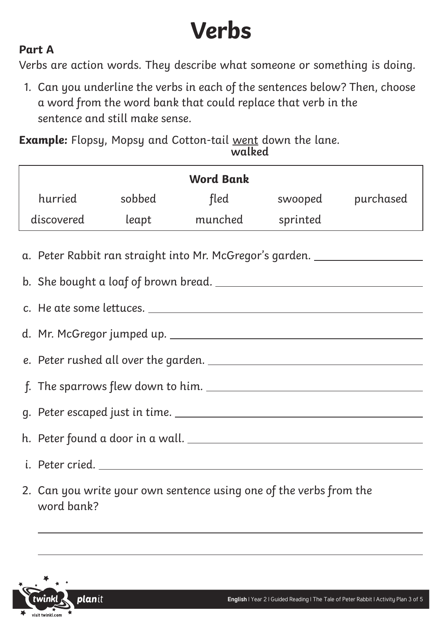## **Verbs**

### **Part A**

Verbs are action words. They describe what someone or something is doing.

1. Can you underline the verbs in each of the sentences below? Then, choose a word from the word bank that could replace that verb in the sentence and still make sense.

**Example:** Flopsy, Mopsy and Cotton-tail went down the lane. **walked**

| <b>Word Bank</b>                                                                 |         |        |                          |          |                   |  |  |  |
|----------------------------------------------------------------------------------|---------|--------|--------------------------|----------|-------------------|--|--|--|
|                                                                                  | hurried | sobbed | fled                     |          | swooped purchased |  |  |  |
|                                                                                  |         |        | discovered leapt munched | sprinted |                   |  |  |  |
| a. Peter Rabbit ran straight into Mr. McGregor's garden. _______________________ |         |        |                          |          |                   |  |  |  |
|                                                                                  |         |        |                          |          |                   |  |  |  |
|                                                                                  |         |        |                          |          |                   |  |  |  |
|                                                                                  |         |        |                          |          |                   |  |  |  |
|                                                                                  |         |        |                          |          |                   |  |  |  |
|                                                                                  |         |        |                          |          |                   |  |  |  |
|                                                                                  |         |        |                          |          |                   |  |  |  |
|                                                                                  |         |        |                          |          |                   |  |  |  |
|                                                                                  |         |        |                          |          |                   |  |  |  |
| 2. Can you write your own sentence using one of the verbs from the               |         |        |                          |          |                   |  |  |  |

**plan**it visit twinkl con

word bank?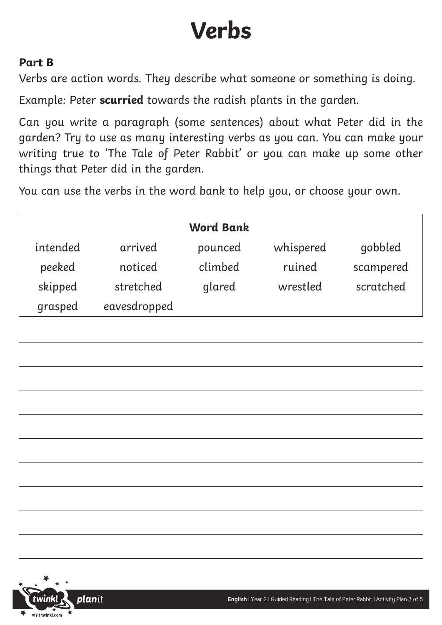## **Verbs**

## **Part B**

Verbs are action words. They describe what someone or something is doing.

Example: Peter **scurried** towards the radish plants in the garden.

Can you write a paragraph (some sentences) about what Peter did in the garden? Try to use as many interesting verbs as you can. You can make your writing true to 'The Tale of Peter Rabbit' or you can make up some other things that Peter did in the garden.

You can use the verbs in the word bank to help you, or choose your own.

| <b>Word Bank</b> |              |         |           |           |  |  |  |  |
|------------------|--------------|---------|-----------|-----------|--|--|--|--|
| intended         | arrived      | pounced | whispered | gobbled   |  |  |  |  |
| peeked           | noticed      | climbed | ruined    | scampered |  |  |  |  |
| skipped          | stretched    | glared  | wrestled  | scratched |  |  |  |  |
| grasped          | eavesdropped |         |           |           |  |  |  |  |

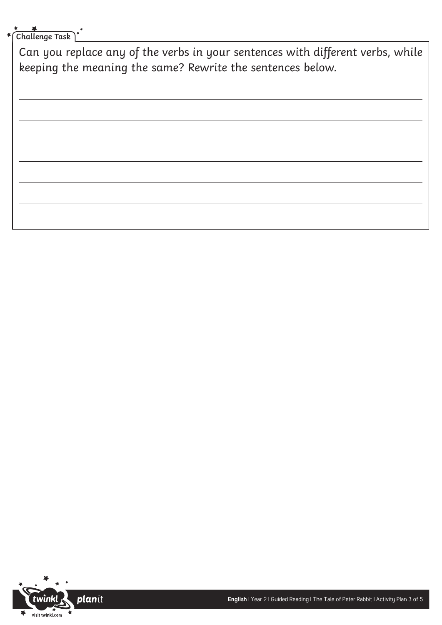## **Challenge Task**

Can you replace any of the verbs in your sentences with different verbs, while keeping the meaning the same? Rewrite the sentences below.

planit visit twinkl.com